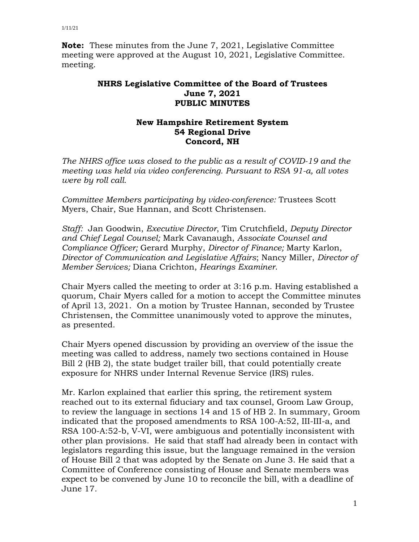**Note:** These minutes from the June 7, 2021, Legislative Committee meeting were approved at the August 10, 2021, Legislative Committee. meeting.

## **NHRS Legislative Committee of the Board of Trustees June 7, 2021 PUBLIC MINUTES**

## **New Hampshire Retirement System 54 Regional Drive Concord, NH**

*The NHRS office was closed to the public as a result of COVID-19 and the meeting was held via video conferencing. Pursuant to RSA 91-a, all votes were by roll call.*

*Committee Members participating by video-conference:* Trustees Scott Myers, Chair, Sue Hannan, and Scott Christensen.

*Staff:* Jan Goodwin, *Executive Director*, Tim Crutchfield, *Deputy Director and Chief Legal Counsel;* Mark Cavanaugh, *Associate Counsel and Compliance Officer;* Gerard Murphy, *Director of Finance;* Marty Karlon, *Director of Communication and Legislative Affairs*; Nancy Miller, *Director of Member Services;* Diana Crichton, *Hearings Examiner*.

Chair Myers called the meeting to order at 3:16 p.m. Having established a quorum, Chair Myers called for a motion to accept the Committee minutes of April 13, 2021. On a motion by Trustee Hannan, seconded by Trustee Christensen, the Committee unanimously voted to approve the minutes, as presented.

Chair Myers opened discussion by providing an overview of the issue the meeting was called to address, namely two sections contained in House Bill 2 (HB 2), the state budget trailer bill, that could potentially create exposure for NHRS under Internal Revenue Service (IRS) rules.

Mr. Karlon explained that earlier this spring, the retirement system reached out to its external fiduciary and tax counsel, Groom Law Group, to review the language in sections 14 and 15 of HB 2. In summary, Groom indicated that the proposed amendments to RSA 100-A:52, III-III-a, and RSA 100-A:52-b, V-VI, were ambiguous and potentially inconsistent with other plan provisions. He said that staff had already been in contact with legislators regarding this issue, but the language remained in the version of House Bill 2 that was adopted by the Senate on June 3. He said that a Committee of Conference consisting of House and Senate members was expect to be convened by June 10 to reconcile the bill, with a deadline of June 17.